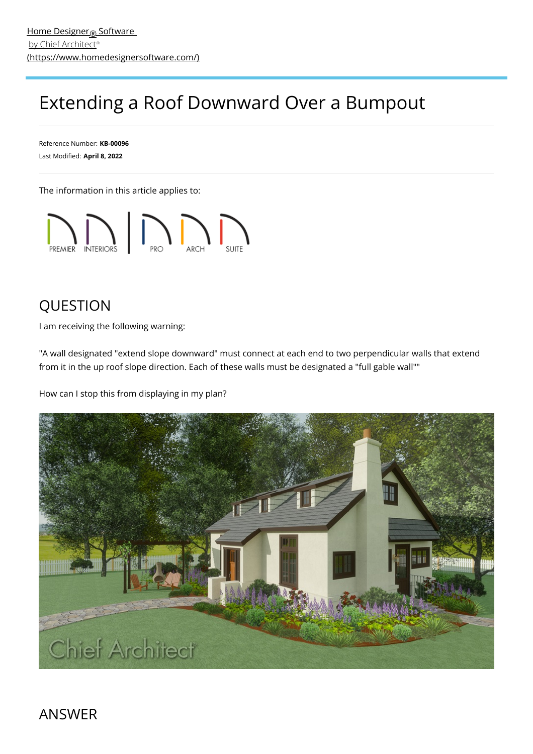## Extending a Roof Downward Over a Bumpout

Reference Number: **KB-00096** Last Modified: **April 8, 2022**

The information in this article applies to:



## QUESTION

I am receiving the following warning:

"A wall designated "extend slope downward" must connect at each end to two perpendicular walls that extend from it in the up roof slope direction. Each of these walls must be designated a "full gable wall""

How can I stop this from displaying in my plan?



ANSWER